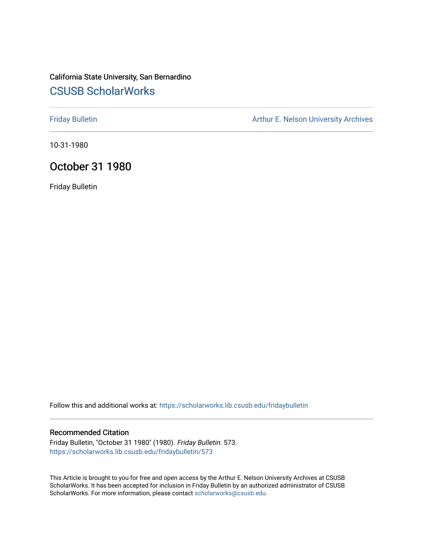# California State University, San Bernardino [CSUSB ScholarWorks](https://scholarworks.lib.csusb.edu/)

[Friday Bulletin](https://scholarworks.lib.csusb.edu/fridaybulletin) **Arthur E. Nelson University Archives** Arthur E. Nelson University Archives

10-31-1980

## October 31 1980

Friday Bulletin

Follow this and additional works at: [https://scholarworks.lib.csusb.edu/fridaybulletin](https://scholarworks.lib.csusb.edu/fridaybulletin?utm_source=scholarworks.lib.csusb.edu%2Ffridaybulletin%2F573&utm_medium=PDF&utm_campaign=PDFCoverPages)

### Recommended Citation

Friday Bulletin, "October 31 1980" (1980). Friday Bulletin. 573. [https://scholarworks.lib.csusb.edu/fridaybulletin/573](https://scholarworks.lib.csusb.edu/fridaybulletin/573?utm_source=scholarworks.lib.csusb.edu%2Ffridaybulletin%2F573&utm_medium=PDF&utm_campaign=PDFCoverPages)

This Article is brought to you for free and open access by the Arthur E. Nelson University Archives at CSUSB ScholarWorks. It has been accepted for inclusion in Friday Bulletin by an authorized administrator of CSUSB ScholarWorks. For more information, please contact [scholarworks@csusb.edu.](mailto:scholarworks@csusb.edu)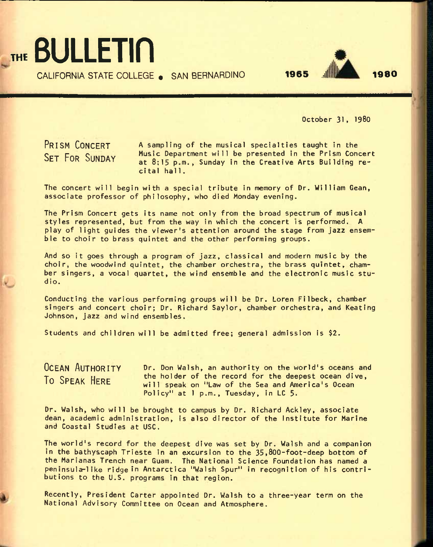

CALIFORNIA STATE COLLEGE . SAN BERNARDINO



October 31, 1980

**PRISM CONCERT SET FOR SUNDAY** 

A sampling of the musical specialties taught in the Music Department will be presented in the Prism Concert at 8:15 p.m., Sunday in the Creative Arts Building recital hall.

The concert will begin with a special tribute in memory of Dr. William Gean, associate professor of philosophy, who died Monday evening.

The Prism Concert gets its name not only from the broad spectrum of musical styles represented, but from the way in which the concert is performed. A play of light guides the viewer's attention around the stage from jazz ensemble to choir to brass quintet and the other performing groups.

And so it goes through a program of jazz, classical and modern music by the choir, the woodwind quintet, the chamber orchestra, the brass quintet, chamber singers, a vocal quartet, the wind ensemble and the electronic music studio.

Conducting the various performing groups will be Dr. Loren Filbeck, chamber singers and concert choir; Dr. Richard Saylor, chamber orchestra, and Keating Johnson, jazz and wind ensembles.

Students and children will be admitted free; general admission is \$2.

**OCEAN AUTHORITY To SPEAK HERE** 

Dr. Don Walsh, an authority on the world's oceans and the holder of the record for the deepest ocean dive, will speak on "Law of the Sea and America's Ocean Policy" at 1 p.m., Tuesday, in LC 5.

Dr. Walsh, who will be brought to campus by Dr. Richard Ackley, associate dean, academic administration, is also director of the Institute for Marine and Coastal Studies at USC.

The world's record for the deepest dive was set by Dr. Walsh and a companion in the bathyscaph Trieste in an excursion to the 35,800-foot-deep bottom of the Marianas Trench near Guam. The National Science Foundation has named a peninsula-like ridge in Antarctica "Walsh Spur" in recognition of his contributions to the U.S. programs in that region.

Recently, President Carter appointed Dr. Walsh to a three-year term on the National Advisory Committee on Ocean and Atmosphere.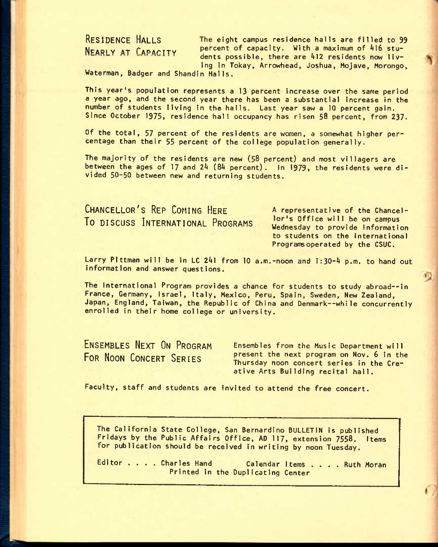RESIDENCE HALLS **The eight campus residence halls are filled to 99 NEARLY AT CAPACITY** percent of capacity. With a maximum of 416 students possible, there are  $412$  residents now living in Tokay, Arrowhead, Joshua, Mojave, Morongo,

Waterman, Badger and Shandin Halls.

This year's population represents a 13 percent increase over the same period a year ago, and the second year there has been a substantial increase in the number of students living in the halls. Last year saw a 10 percent gain. Since October 1975, residence hall occupancy has risen 58 percent, from 237.

Of the total, 57 percent of the residents are women, a somewhat higher percentage than their 55 percent of the college population generally.

The majority of the residents are new (58 percent) and most villagers are between the ages of 17 and 24 (84 percent). In 1979, the residents were divided 50-50 between new and returning students.

**CHANCELLOR'S REP COMING HERE To DISCUSS INTERNATIONAL PROGRAMS** 

A representative of the Chancellor's Office will be on campus Wednesday to provide information to students on the International Programsoperated by the CSUC.

Larry Plttman will be in LC 241 from 10 a.m.-noon and 1:30-4 p.m. to hand out information and answer questions.

The International Program provides a chance for students to study abroad--in France, Germany, Israel, Italy, Mexico, Peru, Spain, Sweden, New Zealand, Japan, England, Taiwan, the Republic of China and Denmark—while concurrently enrolled in their home college or university.

**ENSEMBLES NEXT ON PROGRAM FOR NOON CONCERT SERIES** 

Ensembles from the Music Department will present the next program on Nov. 6 In the Thursday noon concert series in the Creative Arts Building recital hall.

Faculty, staff and students are invited to attend the free concert.

The California State College, San Bernardino BULLETIN is published Fridays by the Public Affairs Office, AD 117, extension 7558. Items for publication should be received in writing by noon Tuesday.

Editor . . . Charles Hand Calendar I tems . . . . Ruth Moran Printed in the Duplicating Center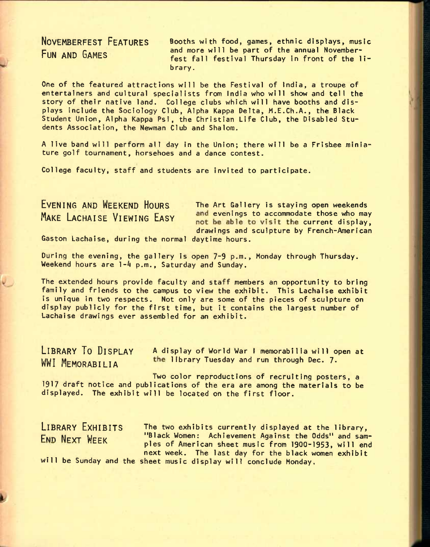**NOVEMBERFEST FEATURES FUN AND GAMES** 

Booths with food, games, ethnic displays, music and more will be part of the annual Novemberfest fall festival Thursday in front of the library.

One of the featured attractions will be the Festival of India, a troupe of entertainers and cultural specialists from India who will show and tell the story of their native land. College clubs which will have booths and displays include the Sociology Club, Alpha Kappa Delta, M.E.Ch.A., the Black Student Union, Alpha Kappa Psi, the Christian Life Club, the Disabled Students Association, the Newman Club and Shalom.

A live band will perform all day in the Union; there will be a Frisbee miniature golf tournament, horsehoes and a dance contest.

College faculty, staff and students are invited to participate.

**EVENING AND WEEKEND HOURS** The Art Gallery is staying open weekends **MAKE LACHAISE VIEWING EASY** and evenings to accommodate those who may not be able to visit the current display, drawings and sculpture by French-American

Gaston Lachaise, during the normal daytime hours.

During the evening, the gallery Is open 7-9 p.m., Monday through Thursday. Weekend hours are 1-4 p.m., Saturday and Sunday.

The extended hours provide faculty and staff members an opportunity to bring family and friends to the campus to view the exhibit. This Lachaise exhibit is unique in two respects. Not only are some of the pieces of sculpture on display publicly for the first time, but it contains the largest number of Lachaise drawings ever assembled for an exhibit.

**LIBRARY TO DISPLAY A** display of World war **L** memorabilia will open at WWI MEMORABILIA **The library Tuesday and run through Dec. 7.** 

Two color reproductions of recruiting posters, a 1917 draft notice and publications of the era are among the materials to be displayed. The exhibit will be located on the first floor.

**LIBRARY EXHIBITS** The two exhibits currently displayed at the library, FRID NEXT WEEK "Black Women: Achievement Against the Odds" and samples of American sheet music from 1900-1953, will end next week. The last day for the black women exhibit will be Sunday and the sheet music display will conclude Monday.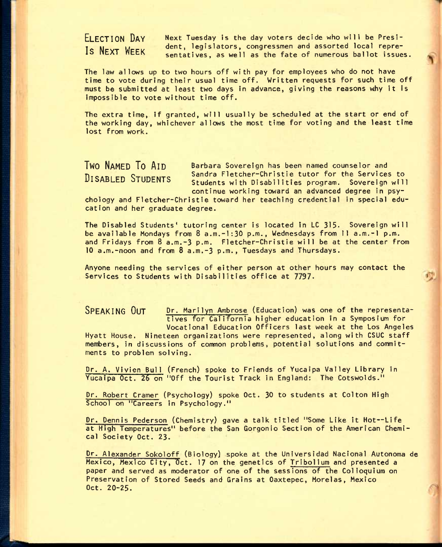**ELECTION DAY Is NEXT WEEK** 

Next Tuesday is the day voters decide who will be President, legislators, congressmen and assorted local representatives, as well as the fate of numerous ballot issues.

The law allows up to two hours off with pay for employees who do not have time to vote during their usual time off. Written requests for such time off must be submitted at least two days In advance, giving the reasons why It Is Impossible to vote without time off.

The extra time. If granted, will usually be scheduled at the start or end of the working day, whichever allows the most time for voting and the least time lost from work.

**TWO NAMED TO AID** Barbara Sovereign has been named counselor and<br> **Begins and Sandra Fletcher-Christie tutor for the Services to <sup>D</sup>tcadi** *CT\* Q**-rnncMxc** Sandra Fletcher-Christie tutor for the Services to **DISABLED OTUDENTS** Students with Disabilities program. Sovereign will continue working toward an advanced degree in psy-

chology and Fletcher-Christie toward her teaching credential In special education and her graduate degree.

The Disabled Students' tutoring center is located in LC 315. Sovereign will be available Mondays from 8 a.m.-1:30 p.m., Wednesdays from 11 a.m.-l p.m. and Fridays from 8 a.m.-3 p.m. Fletcher-Christie will be at the center from 10 a.m.-noon and from 8 a.m.-3 p.m., Tuesdays and Thursdays.

Anyone needing the services of either person at other hours may contact the Services to Students with Disabilities office at 7797.

**SPEAKING OUT** Dr. Marllyn Ambrose (Education) was one of the representatives for California higher education In a Symposium for Vocational Education Officers last week at the Los Angeles Hyatt House. Nineteen organizations were represented, along with CSUC staff members, in discussions of common problems, potential solutions and commitments to problem solving.

Dr. A. Vivien Bull (French) spoke to Friends of Yucaipa Valley Library in Yucaipa Oct. 26 on "Off the Tourist Track in England: The Cotswolds."

Dr. Robert Cramer (Psychology) spoke Oct. 30 to students at Colton High School on "Careers in Psychology."

Dr. Dennis Pederson (Chemistry) gave a talk titled "Some Like It Hot—Life at High Temperatures" before the San Gorgonio Section of the American Chemical Society Oct. 23.

Dr. Alexander Sokbloff (Biology) spoke at the Universldad Naclonal Autonoma de Mexico, Mexico City, Oct. 17 on the genetics of Tribolium and presented a paper and served as moderator of one of the sessions of the Colloquium on Preservation of Stored Seeds and Grains at Oaxtepec, Morelas, Mexico Oct. 20-25.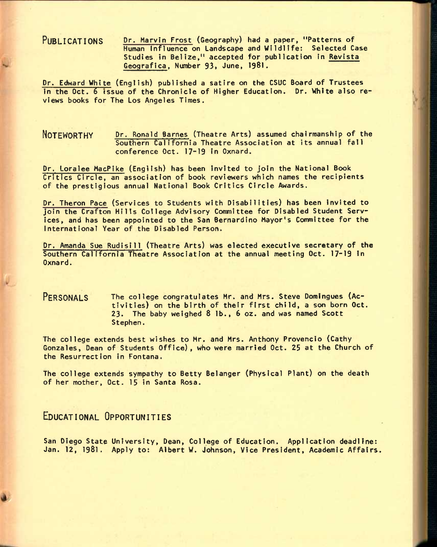PUBLICATIONS Dr. Marvin Frost (Geography) had a paper, "Patterns of Human Influence on Landscape and Wildlife: Selected Case Studies in Belize," accepted for publication in Revista Geografica, Number 93, June, 1981.

Dr. Edward Whi te (English) published a satire on the CSUC Board of Trustees In the Oct. 6 issue of the Chronicle of Higher Education. Dr. White also reviews books for The Los Angeles Times.

### **NOTEWORTHY** Pr. Ronald Sames (Theatre Arts) assumed chairmanship of the Southern California Theatre Association at its annual fall conference Oct. 17-19 in Oxnard.

Dr. Loralee MacPike (English) has been invited to join the National Book Critics Circle, an association of book reviewers which names the recipients of the prestigious annual National Book Critics Circle Awards.

Dr. Theron Pace (Services to Students with Disabilities) has been invited to join the Crafton Hills College Advisory Committee for Disabled Student Services, and has been appointed to the San Bernardino Mayor's Committee for the international Year of the Disabled Person.

Dr. Amanda Sue Rudisill (Theatre Arts) was elected executive secretary of the Southern California Theatre Association at the annual meeting Oct. 17-19 in Oxnard.

### PERSONALS The college congratulates Mr. and Mrs. Steve Domingues (Activities) on the birth of their first child, a son born Oct. **23.** The baby weighed 8 lb., **6** oz. and was named Scott Stephen.

The college extends best wishes to Mr. and Mrs. Anthony Provencio (Cathy Gonzales, Dean of Students Office), who were married Oct. 25 at the Church of the Resurrection in Fontana.

The college extends sympathy to Betty Belanger (Physical Plant) on the death of her mother, Oct. 15 in Santa Rosa.

## **EDUCATIONAL OPPORTUNITIES**

San Diego State University, Dean, College of Education. Application deadline: Jan. 12, **1981.** Apply to: Albert W. Johnson, Vice President, Academic Affairs.